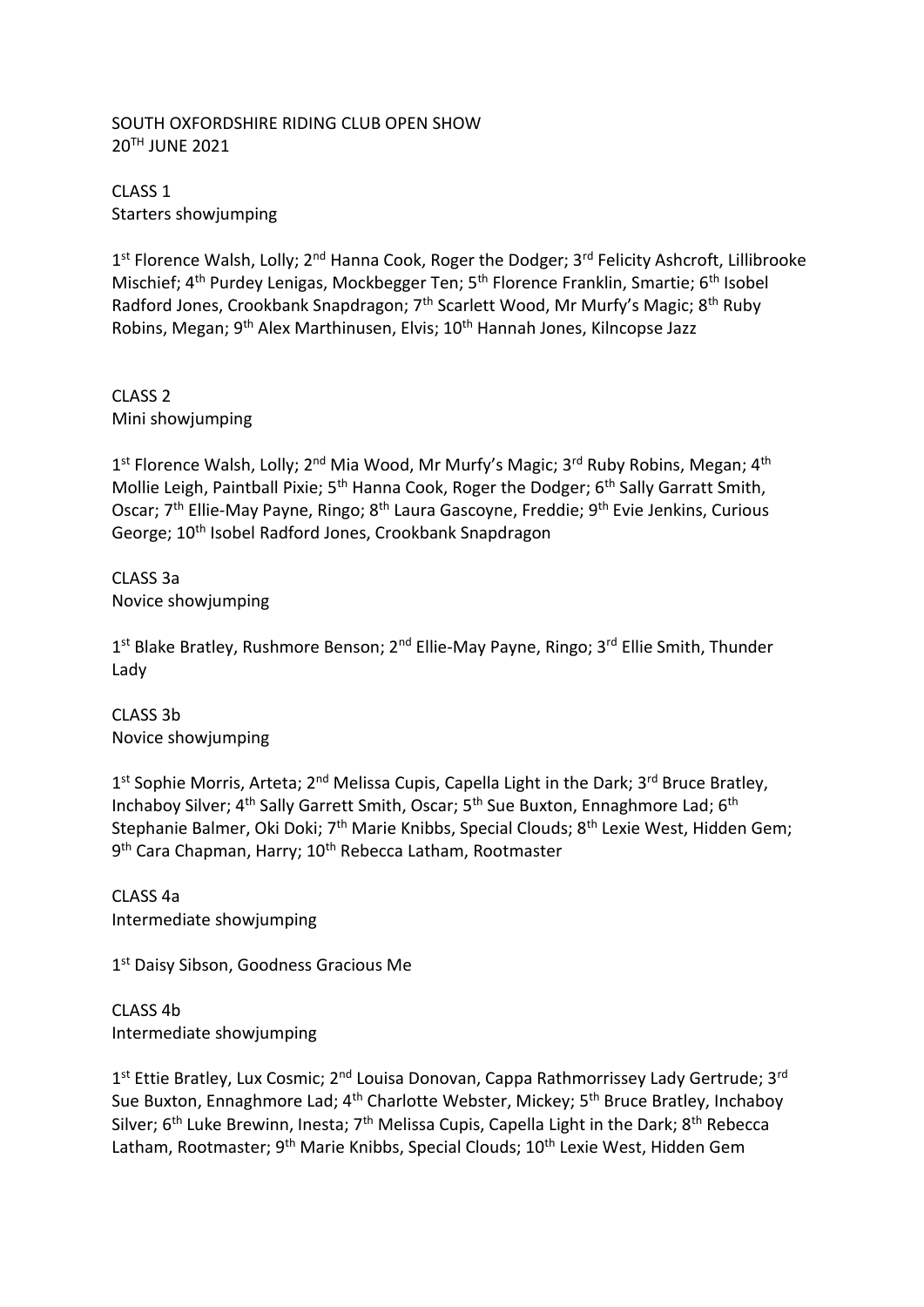## SOUTH OXFORDSHIRE RIDING CLUB OPEN SHOW 20TH JUNE 2021

CLASS 1 Starters showjumping

1<sup>st</sup> Florence Walsh, Lolly; 2<sup>nd</sup> Hanna Cook, Roger the Dodger; 3<sup>rd</sup> Felicity Ashcroft, Lillibrooke Mischief; 4<sup>th</sup> Purdey Lenigas, Mockbegger Ten; 5<sup>th</sup> Florence Franklin, Smartie; 6<sup>th</sup> Isobel Radford Jones, Crookbank Snapdragon; 7<sup>th</sup> Scarlett Wood, Mr Murfy's Magic; 8<sup>th</sup> Ruby Robins, Megan; 9<sup>th</sup> Alex Marthinusen, Elvis; 10<sup>th</sup> Hannah Jones, Kilncopse Jazz

CLASS 2 Mini showjumping

1<sup>st</sup> Florence Walsh, Lolly; 2<sup>nd</sup> Mia Wood, Mr Murfy's Magic; 3<sup>rd</sup> Ruby Robins, Megan; 4<sup>th</sup> Mollie Leigh, Paintball Pixie; 5<sup>th</sup> Hanna Cook, Roger the Dodger; 6<sup>th</sup> Sally Garratt Smith, Oscar; 7<sup>th</sup> Ellie-May Payne, Ringo; 8<sup>th</sup> Laura Gascoyne, Freddie; 9<sup>th</sup> Evie Jenkins, Curious George; 10th Isobel Radford Jones, Crookbank Snapdragon

CLASS 3a Novice showjumping

1<sup>st</sup> Blake Bratley, Rushmore Benson; 2<sup>nd</sup> Ellie-May Payne, Ringo; 3<sup>rd</sup> Ellie Smith, Thunder Lady

CLASS 3b Novice showjumping

1<sup>st</sup> Sophie Morris, Arteta; 2<sup>nd</sup> Melissa Cupis, Capella Light in the Dark; 3<sup>rd</sup> Bruce Bratley, Inchaboy Silver; 4<sup>th</sup> Sally Garrett Smith, Oscar; 5<sup>th</sup> Sue Buxton, Ennaghmore Lad; 6<sup>th</sup> Stephanie Balmer, Oki Doki; 7<sup>th</sup> Marie Knibbs, Special Clouds; 8<sup>th</sup> Lexie West, Hidden Gem; 9<sup>th</sup> Cara Chapman, Harry; 10<sup>th</sup> Rebecca Latham, Rootmaster

CLASS 4a Intermediate showjumping

1st Daisy Sibson, Goodness Gracious Me

CLASS 4b Intermediate showjumping

1<sup>st</sup> Ettie Bratley, Lux Cosmic; 2<sup>nd</sup> Louisa Donovan, Cappa Rathmorrissey Lady Gertrude; 3<sup>rd</sup> Sue Buxton, Ennaghmore Lad; 4<sup>th</sup> Charlotte Webster, Mickey; 5<sup>th</sup> Bruce Bratley, Inchaboy Silver; 6<sup>th</sup> Luke Brewinn, Inesta; 7<sup>th</sup> Melissa Cupis, Capella Light in the Dark; 8<sup>th</sup> Rebecca Latham, Rootmaster; 9<sup>th</sup> Marie Knibbs, Special Clouds; 10<sup>th</sup> Lexie West, Hidden Gem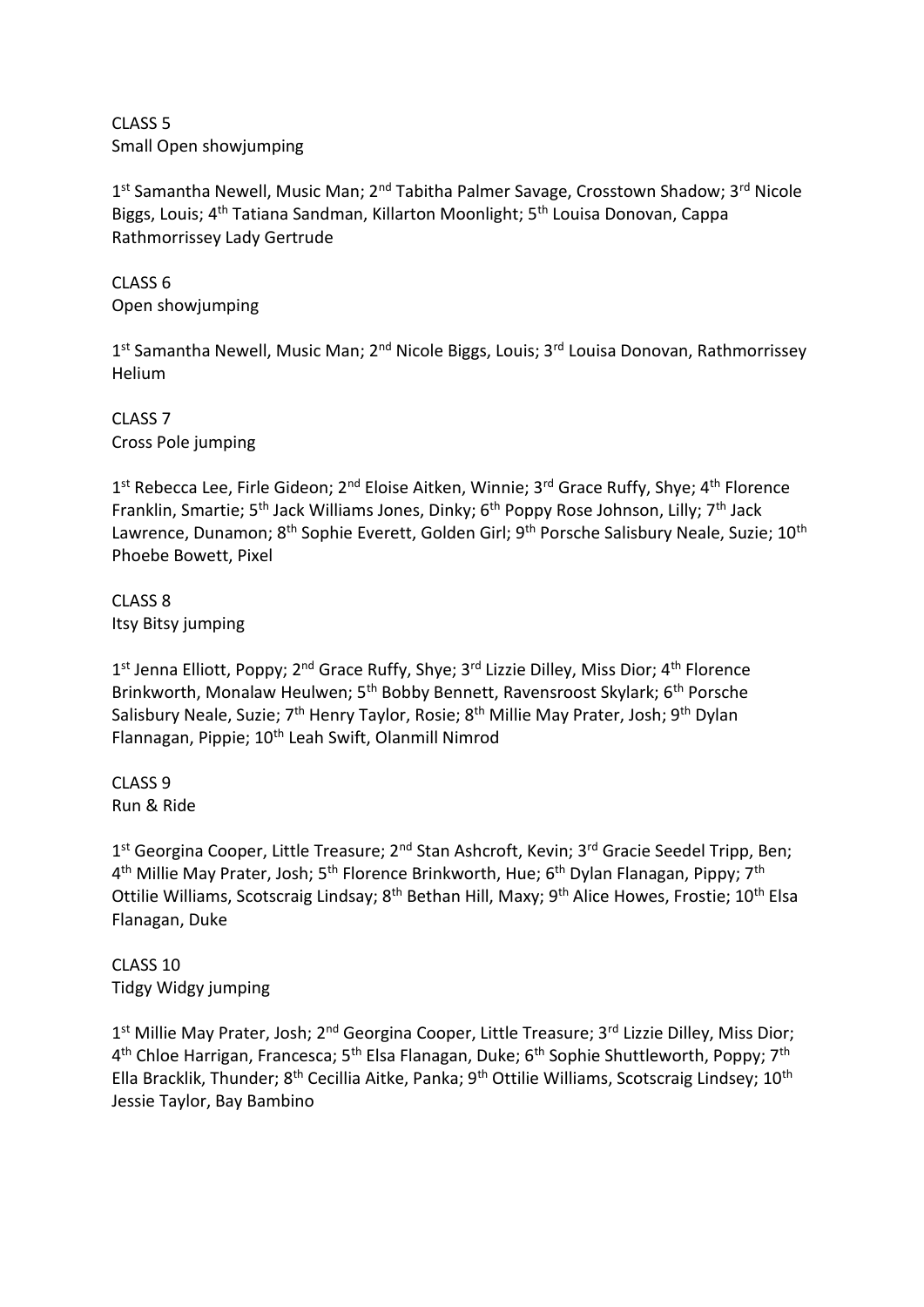CLASS 5 Small Open showjumping

1<sup>st</sup> Samantha Newell, Music Man; 2<sup>nd</sup> Tabitha Palmer Savage, Crosstown Shadow; 3<sup>rd</sup> Nicole Biggs, Louis: 4<sup>th</sup> Tatiana Sandman, Killarton Moonlight; 5<sup>th</sup> Louisa Donovan, Cappa Rathmorrissey Lady Gertrude

CLASS 6 Open showjumping

1<sup>st</sup> Samantha Newell, Music Man; 2<sup>nd</sup> Nicole Biggs, Louis; 3<sup>rd</sup> Louisa Donovan, Rathmorrissey Helium

CLASS 7 Cross Pole jumping

1<sup>st</sup> Rebecca Lee, Firle Gideon; 2<sup>nd</sup> Eloise Aitken, Winnie; 3<sup>rd</sup> Grace Ruffy, Shye; 4<sup>th</sup> Florence Franklin, Smartie; 5<sup>th</sup> Jack Williams Jones, Dinky; 6<sup>th</sup> Poppy Rose Johnson, Lilly; 7<sup>th</sup> Jack Lawrence, Dunamon; 8<sup>th</sup> Sophie Everett, Golden Girl; 9<sup>th</sup> Porsche Salisbury Neale, Suzie; 10<sup>th</sup> Phoebe Bowett, Pixel

CLASS 8 Itsy Bitsy jumping

1<sup>st</sup> Jenna Elliott, Poppy; 2<sup>nd</sup> Grace Ruffy, Shye; 3<sup>rd</sup> Lizzie Dilley, Miss Dior; 4<sup>th</sup> Florence Brinkworth, Monalaw Heulwen; 5<sup>th</sup> Bobby Bennett, Ravensroost Skylark; 6<sup>th</sup> Porsche Salisbury Neale, Suzie; 7<sup>th</sup> Henry Taylor, Rosie; 8<sup>th</sup> Millie May Prater, Josh; 9<sup>th</sup> Dylan Flannagan, Pippie; 10<sup>th</sup> Leah Swift, Olanmill Nimrod

CLASS 9 Run & Ride

1<sup>st</sup> Georgina Cooper, Little Treasure; 2<sup>nd</sup> Stan Ashcroft, Kevin; 3<sup>rd</sup> Gracie Seedel Tripp, Ben; 4<sup>th</sup> Millie May Prater, Josh; 5<sup>th</sup> Florence Brinkworth, Hue; 6<sup>th</sup> Dylan Flanagan, Pippy; 7<sup>th</sup> Ottilie Williams, Scotscraig Lindsay; 8<sup>th</sup> Bethan Hill, Maxy; 9<sup>th</sup> Alice Howes, Frostie; 10<sup>th</sup> Elsa Flanagan, Duke

CLASS 10 Tidgy Widgy jumping

1<sup>st</sup> Millie May Prater, Josh; 2<sup>nd</sup> Georgina Cooper, Little Treasure; 3<sup>rd</sup> Lizzie Dilley, Miss Dior; 4<sup>th</sup> Chloe Harrigan, Francesca; 5<sup>th</sup> Elsa Flanagan, Duke; 6<sup>th</sup> Sophie Shuttleworth, Poppy; 7<sup>th</sup> Ella Bracklik, Thunder; 8<sup>th</sup> Cecillia Aitke, Panka; 9<sup>th</sup> Ottilie Williams, Scotscraig Lindsey; 10<sup>th</sup> Jessie Taylor, Bay Bambino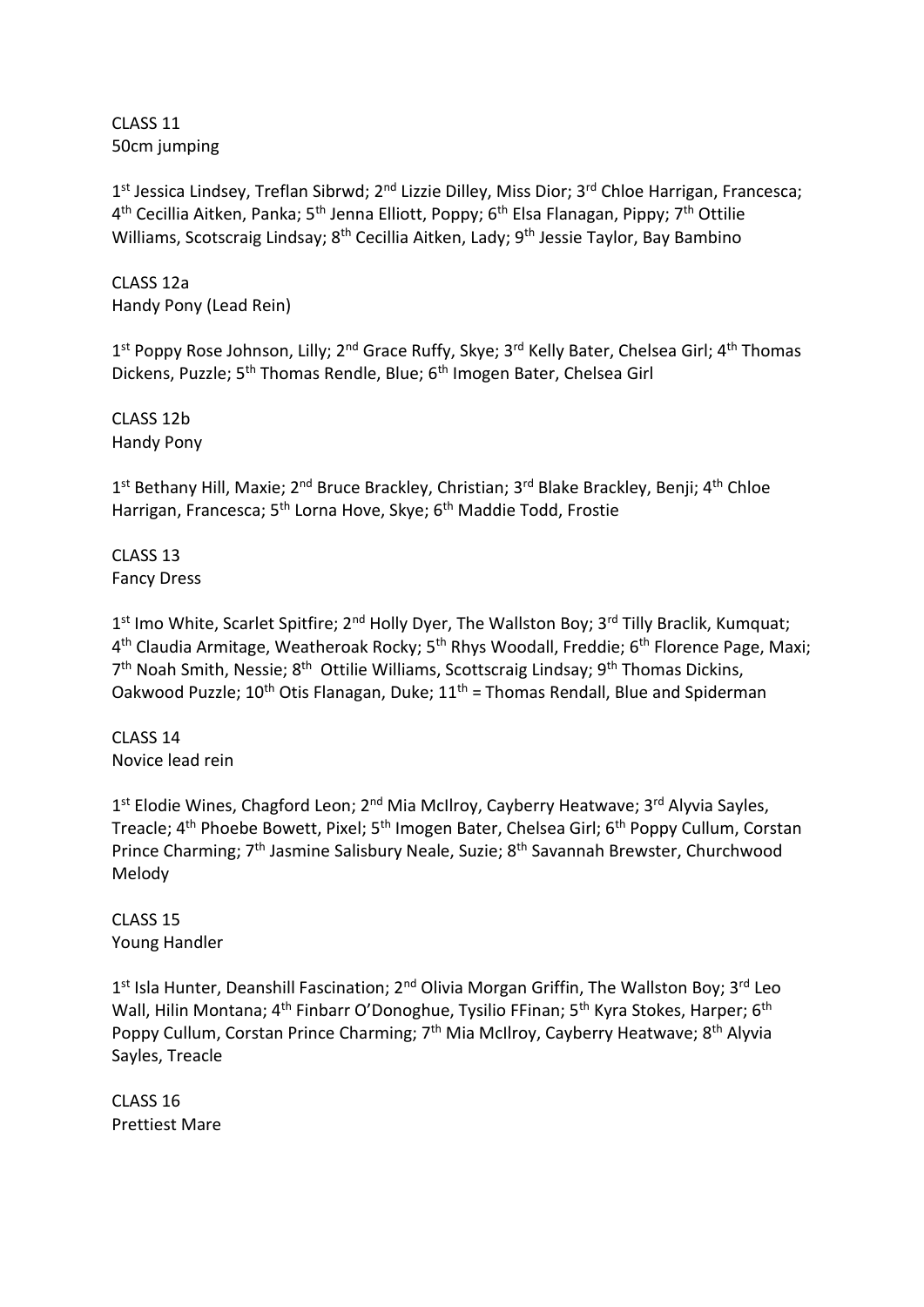CLASS 11 50cm jumping

1<sup>st</sup> Jessica Lindsey, Treflan Sibrwd; 2<sup>nd</sup> Lizzie Dilley, Miss Dior; 3<sup>rd</sup> Chloe Harrigan, Francesca; 4<sup>th</sup> Cecillia Aitken, Panka; 5<sup>th</sup> Jenna Elliott, Poppy; 6<sup>th</sup> Elsa Flanagan, Pippy; 7<sup>th</sup> Ottilie Williams, Scotscraig Lindsay; 8<sup>th</sup> Cecillia Aitken, Lady; 9<sup>th</sup> Jessie Taylor, Bay Bambino

CLASS 12a Handy Pony (Lead Rein)

1<sup>st</sup> Poppy Rose Johnson, Lilly; 2<sup>nd</sup> Grace Ruffy, Skye; 3<sup>rd</sup> Kelly Bater, Chelsea Girl; 4<sup>th</sup> Thomas Dickens, Puzzle; 5<sup>th</sup> Thomas Rendle, Blue; 6<sup>th</sup> Imogen Bater, Chelsea Girl

CLASS 12b Handy Pony

1<sup>st</sup> Bethany Hill, Maxie; 2<sup>nd</sup> Bruce Brackley, Christian; 3<sup>rd</sup> Blake Brackley, Benji; 4<sup>th</sup> Chloe Harrigan, Francesca; 5<sup>th</sup> Lorna Hove, Skye; 6<sup>th</sup> Maddie Todd, Frostie

CLASS 13 Fancy Dress

1<sup>st</sup> Imo White, Scarlet Spitfire; 2<sup>nd</sup> Holly Dyer, The Wallston Boy; 3<sup>rd</sup> Tilly Braclik, Kumquat; 4<sup>th</sup> Claudia Armitage, Weatheroak Rocky; 5<sup>th</sup> Rhys Woodall, Freddie; 6<sup>th</sup> Florence Page, Maxi; 7<sup>th</sup> Noah Smith, Nessie; 8<sup>th</sup> Ottilie Williams, Scottscraig Lindsay; 9<sup>th</sup> Thomas Dickins, Oakwood Puzzle; 10<sup>th</sup> Otis Flanagan, Duke;  $11<sup>th</sup>$  = Thomas Rendall, Blue and Spiderman

CLASS 14 Novice lead rein

1<sup>st</sup> Elodie Wines, Chagford Leon; 2<sup>nd</sup> Mia McIlroy, Cayberry Heatwave; 3<sup>rd</sup> Alyvia Sayles, Treacle; 4<sup>th</sup> Phoebe Bowett, Pixel; 5<sup>th</sup> Imogen Bater, Chelsea Girl; 6<sup>th</sup> Poppy Cullum, Corstan Prince Charming; 7<sup>th</sup> Jasmine Salisbury Neale, Suzie; 8<sup>th</sup> Savannah Brewster, Churchwood Melody

CLASS 15 Young Handler

1<sup>st</sup> Isla Hunter, Deanshill Fascination; 2<sup>nd</sup> Olivia Morgan Griffin, The Wallston Boy; 3<sup>rd</sup> Leo Wall, Hilin Montana; 4<sup>th</sup> Finbarr O'Donoghue, Tysilio FFinan; 5<sup>th</sup> Kyra Stokes, Harper; 6<sup>th</sup> Poppy Cullum, Corstan Prince Charming; 7<sup>th</sup> Mia McIlroy, Cayberry Heatwave; 8<sup>th</sup> Alyvia Sayles, Treacle

CLASS 16 Prettiest Mare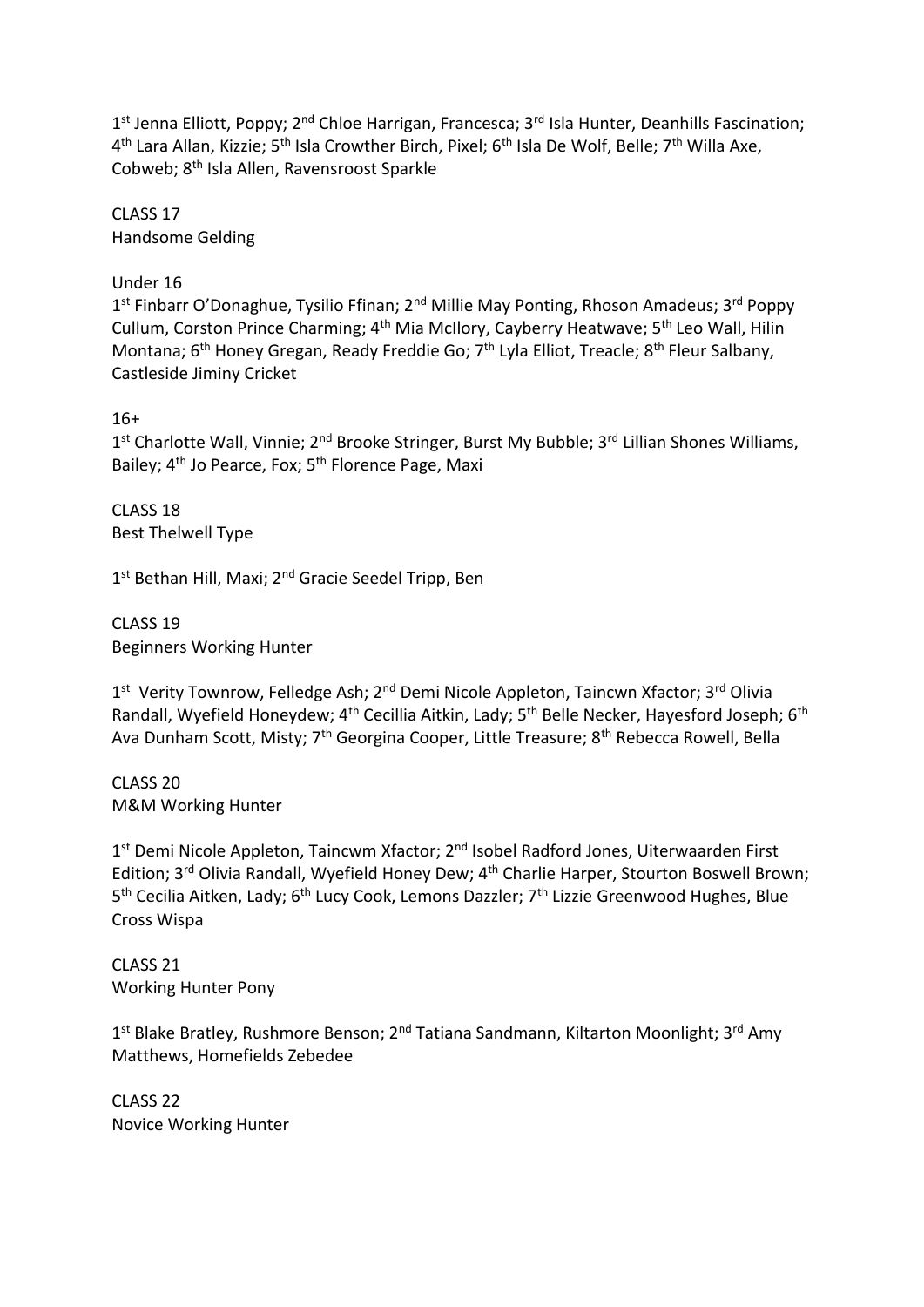1<sup>st</sup> Jenna Elliott, Poppy; 2<sup>nd</sup> Chloe Harrigan, Francesca; 3<sup>rd</sup> Isla Hunter, Deanhills Fascination; 4<sup>th</sup> Lara Allan, Kizzie; 5<sup>th</sup> Isla Crowther Birch, Pixel; 6<sup>th</sup> Isla De Wolf, Belle; 7<sup>th</sup> Willa Axe, Cobweb; 8th Isla Allen, Ravensroost Sparkle

CLASS 17 Handsome Gelding

Under 16

1<sup>st</sup> Finbarr O'Donaghue, Tysilio Ffinan; 2<sup>nd</sup> Millie May Ponting, Rhoson Amadeus; 3<sup>rd</sup> Poppy Cullum, Corston Prince Charming; 4<sup>th</sup> Mia McIlory, Cayberry Heatwave; 5<sup>th</sup> Leo Wall, Hilin Montana; 6<sup>th</sup> Honey Gregan, Ready Freddie Go; 7<sup>th</sup> Lyla Elliot, Treacle; 8<sup>th</sup> Fleur Salbany, Castleside Jiminy Cricket

16+

1<sup>st</sup> Charlotte Wall, Vinnie; 2<sup>nd</sup> Brooke Stringer, Burst My Bubble; 3<sup>rd</sup> Lillian Shones Williams, Bailey; 4<sup>th</sup> Jo Pearce, Fox; 5<sup>th</sup> Florence Page, Maxi

CLASS 18 Best Thelwell Type

1<sup>st</sup> Bethan Hill, Maxi; 2<sup>nd</sup> Gracie Seedel Tripp, Ben

CLASS 19 Beginners Working Hunter

1<sup>st</sup> Verity Townrow, Felledge Ash; 2<sup>nd</sup> Demi Nicole Appleton, Taincwn Xfactor; 3<sup>rd</sup> Olivia Randall, Wyefield Honeydew; 4<sup>th</sup> Cecillia Aitkin, Lady; 5<sup>th</sup> Belle Necker, Hayesford Joseph; 6<sup>th</sup> Ava Dunham Scott, Misty; 7<sup>th</sup> Georgina Cooper, Little Treasure; 8<sup>th</sup> Rebecca Rowell, Bella

CLASS 20 M&M Working Hunter

1<sup>st</sup> Demi Nicole Appleton, Taincwm Xfactor; 2<sup>nd</sup> Isobel Radford Jones, Uiterwaarden First Edition; 3<sup>rd</sup> Olivia Randall, Wyefield Honey Dew; 4<sup>th</sup> Charlie Harper, Stourton Boswell Brown; 5<sup>th</sup> Cecilia Aitken, Lady; 6<sup>th</sup> Lucy Cook, Lemons Dazzler; 7<sup>th</sup> Lizzie Greenwood Hughes, Blue Cross Wispa

CLASS 21 Working Hunter Pony

1<sup>st</sup> Blake Bratley, Rushmore Benson; 2<sup>nd</sup> Tatiana Sandmann, Kiltarton Moonlight; 3<sup>rd</sup> Amy Matthews, Homefields Zebedee

CLASS 22 Novice Working Hunter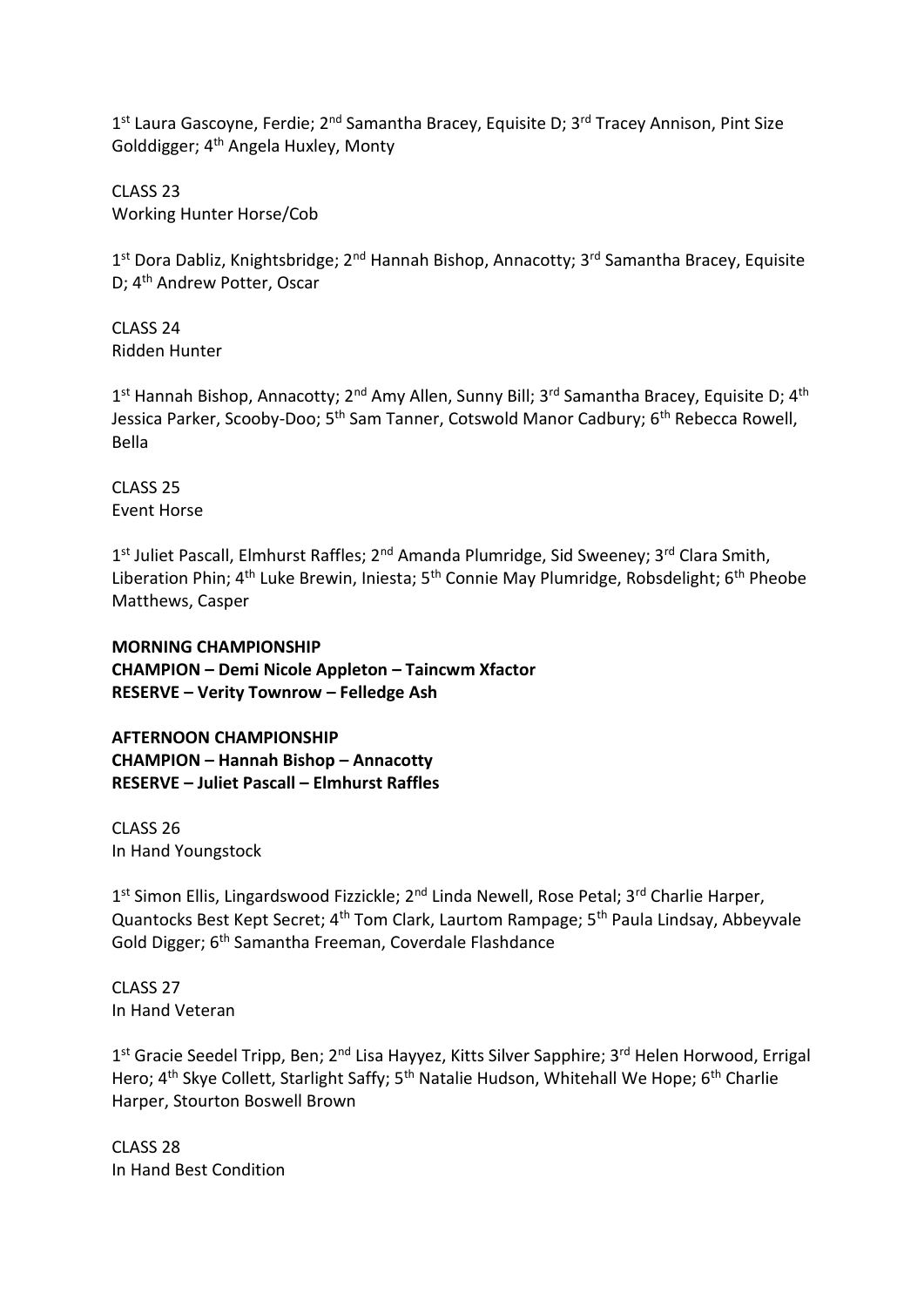1<sup>st</sup> Laura Gascoyne, Ferdie; 2<sup>nd</sup> Samantha Bracey, Equisite D; 3<sup>rd</sup> Tracey Annison, Pint Size Golddigger; 4th Angela Huxley, Monty

CLASS 23 Working Hunter Horse/Cob

1<sup>st</sup> Dora Dabliz, Knightsbridge; 2<sup>nd</sup> Hannah Bishop, Annacotty; 3<sup>rd</sup> Samantha Bracey, Equisite D; 4th Andrew Potter, Oscar

CLASS 24 Ridden Hunter

1<sup>st</sup> Hannah Bishop, Annacotty; 2<sup>nd</sup> Amy Allen, Sunny Bill; 3<sup>rd</sup> Samantha Bracey, Equisite D; 4<sup>th</sup> Jessica Parker, Scooby-Doo; 5<sup>th</sup> Sam Tanner, Cotswold Manor Cadbury; 6<sup>th</sup> Rebecca Rowell. Bella

CLASS 25 Event Horse

1<sup>st</sup> Juliet Pascall, Elmhurst Raffles; 2<sup>nd</sup> Amanda Plumridge, Sid Sweeney; 3<sup>rd</sup> Clara Smith, Liberation Phin; 4<sup>th</sup> Luke Brewin, Iniesta; 5<sup>th</sup> Connie May Plumridge, Robsdelight; 6<sup>th</sup> Pheobe Matthews, Casper

**MORNING CHAMPIONSHIP CHAMPION – Demi Nicole Appleton – Taincwm Xfactor RESERVE – Verity Townrow – Felledge Ash**

**AFTERNOON CHAMPIONSHIP CHAMPION – Hannah Bishop – Annacotty RESERVE – Juliet Pascall – Elmhurst Raffles**

CLASS 26 In Hand Youngstock

1<sup>st</sup> Simon Ellis, Lingardswood Fizzickle; 2<sup>nd</sup> Linda Newell, Rose Petal; 3<sup>rd</sup> Charlie Harper, Quantocks Best Kept Secret; 4<sup>th</sup> Tom Clark, Laurtom Rampage; 5<sup>th</sup> Paula Lindsay, Abbeyvale Gold Digger; 6<sup>th</sup> Samantha Freeman, Coverdale Flashdance

CLASS 27 In Hand Veteran

1<sup>st</sup> Gracie Seedel Tripp, Ben; 2<sup>nd</sup> Lisa Hayyez, Kitts Silver Sapphire; 3<sup>rd</sup> Helen Horwood, Errigal Hero; 4<sup>th</sup> Skye Collett, Starlight Saffy; 5<sup>th</sup> Natalie Hudson, Whitehall We Hope; 6<sup>th</sup> Charlie Harper, Stourton Boswell Brown

CLASS 28 In Hand Best Condition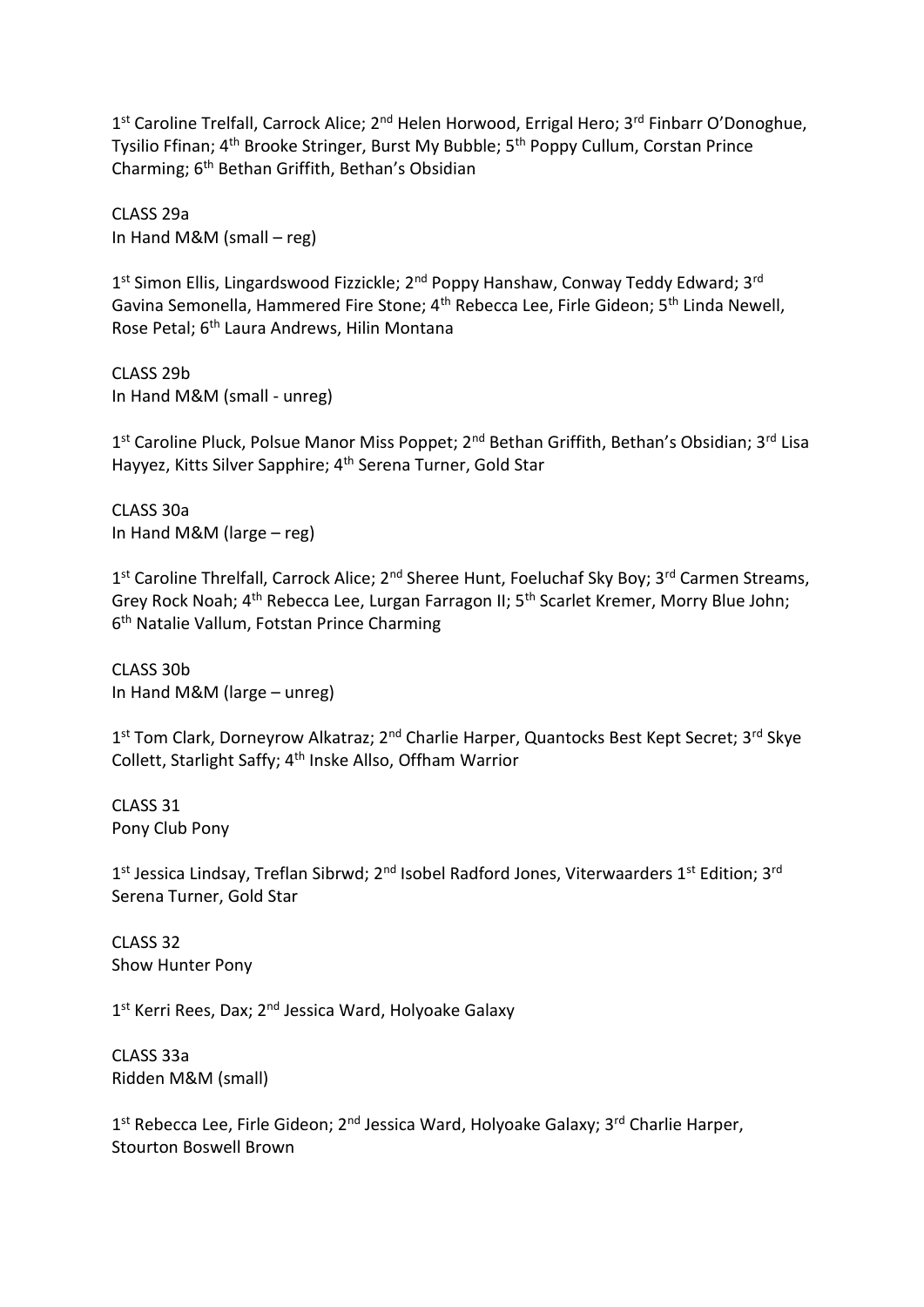1<sup>st</sup> Caroline Trelfall, Carrock Alice; 2<sup>nd</sup> Helen Horwood, Errigal Hero; 3<sup>rd</sup> Finbarr O'Donoghue, Tysilio Ffinan; 4<sup>th</sup> Brooke Stringer, Burst My Bubble; 5<sup>th</sup> Poppy Cullum, Corstan Prince Charming; 6th Bethan Griffith, Bethan's Obsidian

CLASS 29a In Hand M&M (small – reg)

1<sup>st</sup> Simon Ellis, Lingardswood Fizzickle; 2<sup>nd</sup> Poppy Hanshaw, Conway Teddy Edward; 3<sup>rd</sup> Gavina Semonella, Hammered Fire Stone; 4th Rebecca Lee, Firle Gideon; 5th Linda Newell, Rose Petal; 6<sup>th</sup> Laura Andrews, Hilin Montana

CLASS 29b In Hand M&M (small - unreg)

1<sup>st</sup> Caroline Pluck, Polsue Manor Miss Poppet; 2<sup>nd</sup> Bethan Griffith, Bethan's Obsidian; 3<sup>rd</sup> Lisa Hayyez, Kitts Silver Sapphire; 4<sup>th</sup> Serena Turner, Gold Star

CLASS 30a In Hand M&M (large – reg)

1<sup>st</sup> Caroline Threlfall, Carrock Alice; 2<sup>nd</sup> Sheree Hunt, Foeluchaf Sky Boy; 3<sup>rd</sup> Carmen Streams, Grey Rock Noah; 4<sup>th</sup> Rebecca Lee, Lurgan Farragon II; 5<sup>th</sup> Scarlet Kremer, Morry Blue John; 6<sup>th</sup> Natalie Vallum, Fotstan Prince Charming

CLASS 30b In Hand M&M (large – unreg)

1<sup>st</sup> Tom Clark, Dorneyrow Alkatraz; 2<sup>nd</sup> Charlie Harper, Quantocks Best Kept Secret; 3<sup>rd</sup> Skye Collett, Starlight Saffy; 4th Inske Allso, Offham Warrior

CLASS 31 Pony Club Pony

1<sup>st</sup> Jessica Lindsay, Treflan Sibrwd; 2<sup>nd</sup> Isobel Radford Jones, Viterwaarders 1<sup>st</sup> Edition; 3<sup>rd</sup> Serena Turner, Gold Star

CLASS 32 Show Hunter Pony

1<sup>st</sup> Kerri Rees, Dax; 2<sup>nd</sup> Jessica Ward, Holyoake Galaxy

CLASS 33a Ridden M&M (small)

1<sup>st</sup> Rebecca Lee, Firle Gideon; 2<sup>nd</sup> Jessica Ward, Holyoake Galaxy; 3<sup>rd</sup> Charlie Harper, Stourton Boswell Brown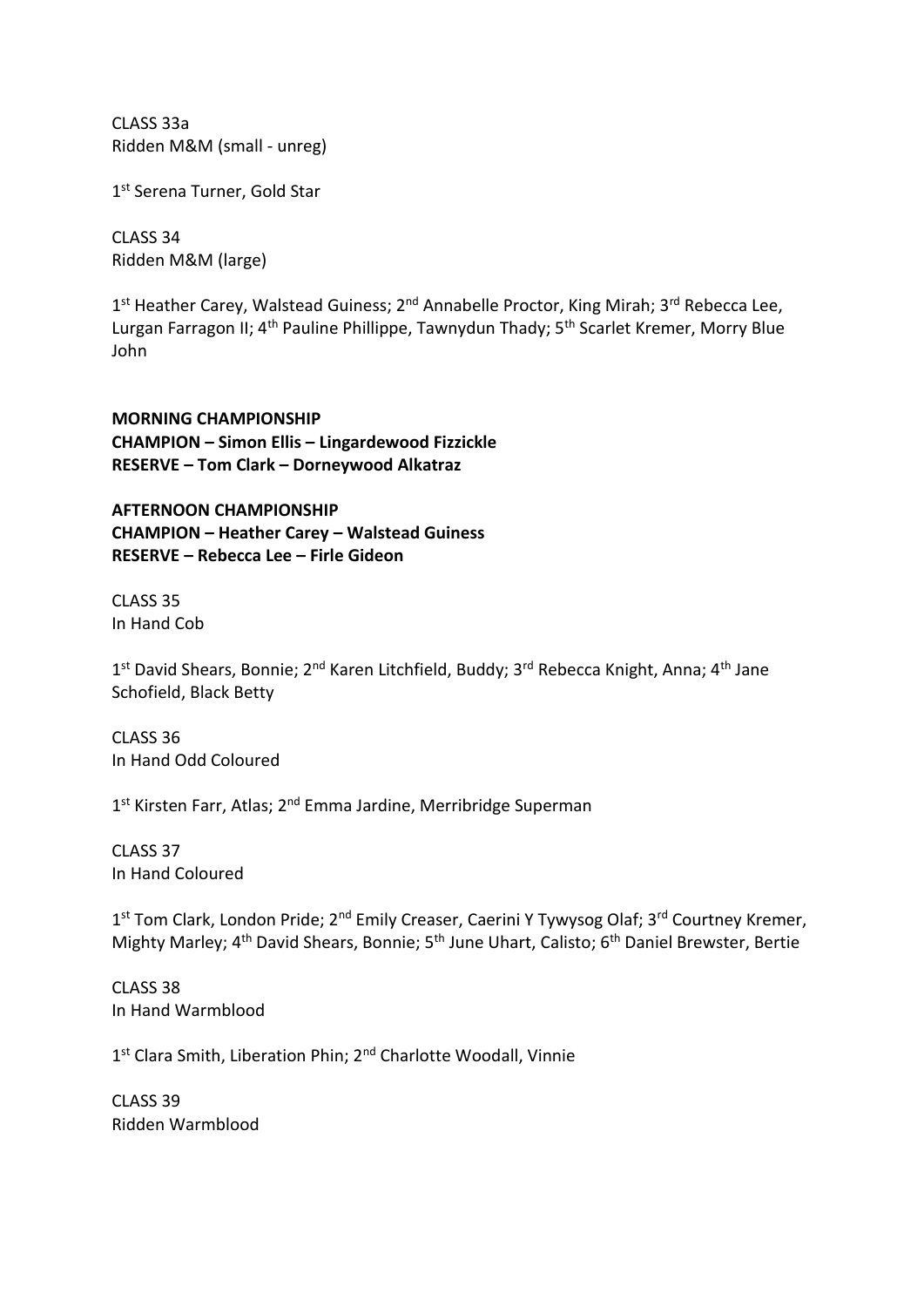CLASS 33a Ridden M&M (small - unreg)

1st Serena Turner, Gold Star

CLASS 34 Ridden M&M (large)

1<sup>st</sup> Heather Carey, Walstead Guiness; 2<sup>nd</sup> Annabelle Proctor, King Mirah; 3<sup>rd</sup> Rebecca Lee, Lurgan Farragon II; 4<sup>th</sup> Pauline Phillippe, Tawnydun Thady; 5<sup>th</sup> Scarlet Kremer, Morry Blue John

**MORNING CHAMPIONSHIP CHAMPION – Simon Ellis – Lingardewood Fizzickle RESERVE – Tom Clark – Dorneywood Alkatraz**

**AFTERNOON CHAMPIONSHIP CHAMPION – Heather Carey – Walstead Guiness RESERVE – Rebecca Lee – Firle Gideon**

CLASS 35 In Hand Cob

1<sup>st</sup> David Shears, Bonnie; 2<sup>nd</sup> Karen Litchfield, Buddy; 3<sup>rd</sup> Rebecca Knight, Anna; 4<sup>th</sup> Jane Schofield, Black Betty

CLASS 36 In Hand Odd Coloured

1<sup>st</sup> Kirsten Farr, Atlas; 2<sup>nd</sup> Emma Jardine, Merribridge Superman

CLASS 37 In Hand Coloured

1<sup>st</sup> Tom Clark, London Pride; 2<sup>nd</sup> Emily Creaser, Caerini Y Tywysog Olaf; 3<sup>rd</sup> Courtney Kremer, Mighty Marley; 4<sup>th</sup> David Shears, Bonnie; 5<sup>th</sup> June Uhart, Calisto; 6<sup>th</sup> Daniel Brewster, Bertie

CLASS 38 In Hand Warmblood

1<sup>st</sup> Clara Smith, Liberation Phin; 2<sup>nd</sup> Charlotte Woodall, Vinnie

CLASS 39 Ridden Warmblood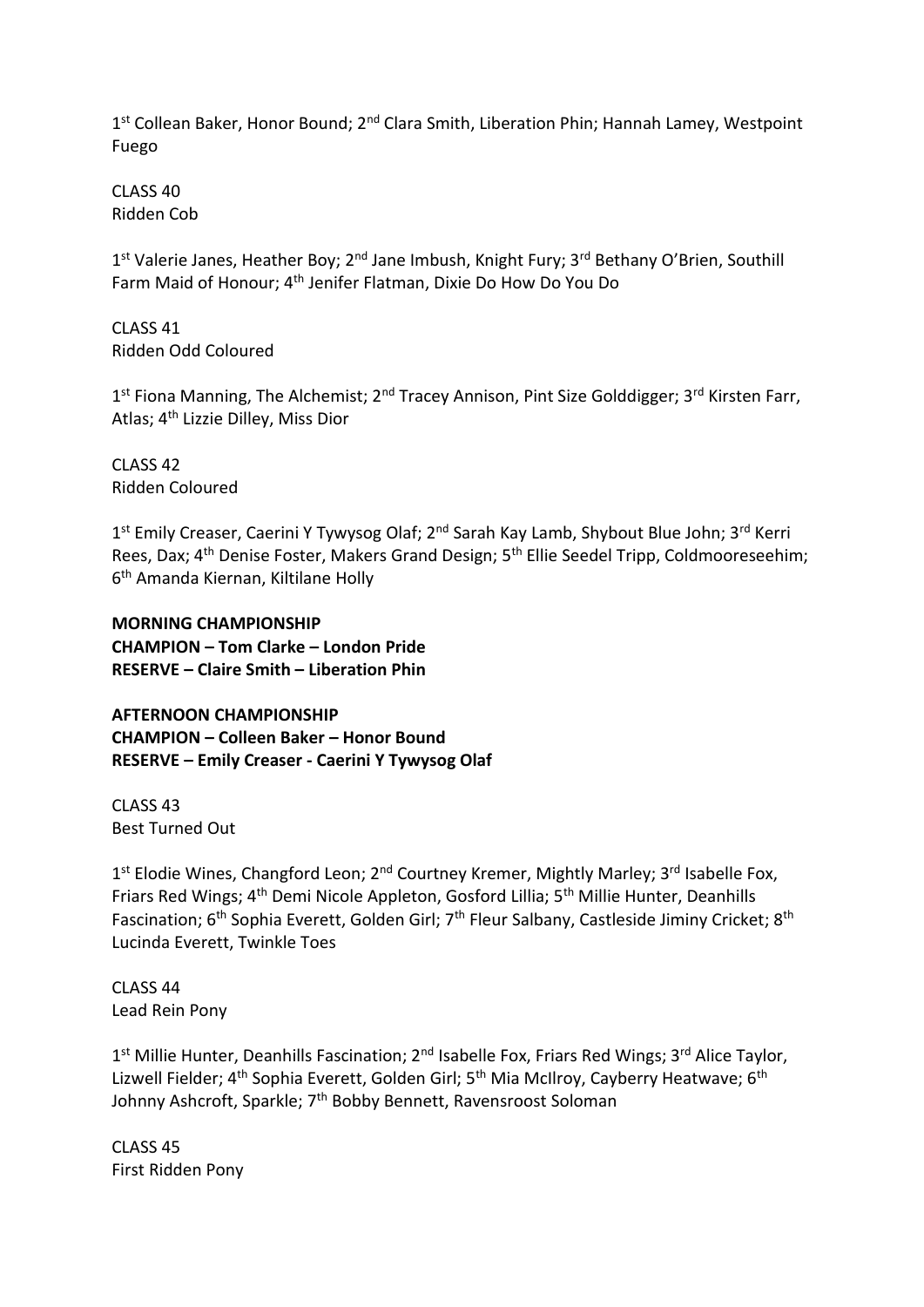1<sup>st</sup> Collean Baker, Honor Bound; 2<sup>nd</sup> Clara Smith, Liberation Phin; Hannah Lamey, Westpoint Fuego

CLASS 40 Ridden Cob

1<sup>st</sup> Valerie Janes, Heather Boy; 2<sup>nd</sup> Jane Imbush, Knight Fury; 3<sup>rd</sup> Bethany O'Brien, Southill Farm Maid of Honour; 4th Jenifer Flatman, Dixie Do How Do You Do

CLASS 41 Ridden Odd Coloured

1<sup>st</sup> Fiona Manning, The Alchemist; 2<sup>nd</sup> Tracey Annison, Pint Size Golddigger; 3<sup>rd</sup> Kirsten Farr, Atlas; 4th Lizzie Dilley, Miss Dior

CLASS 42 Ridden Coloured

1<sup>st</sup> Emily Creaser, Caerini Y Tywysog Olaf; 2<sup>nd</sup> Sarah Kay Lamb, Shybout Blue John; 3<sup>rd</sup> Kerri Rees, Dax; 4<sup>th</sup> Denise Foster, Makers Grand Design; 5<sup>th</sup> Ellie Seedel Tripp, Coldmooreseehim; 6 th Amanda Kiernan, Kiltilane Holly

**MORNING CHAMPIONSHIP CHAMPION – Tom Clarke – London Pride RESERVE – Claire Smith – Liberation Phin**

**AFTERNOON CHAMPIONSHIP CHAMPION – Colleen Baker – Honor Bound RESERVE – Emily Creaser - Caerini Y Tywysog Olaf**

CLASS 43 Best Turned Out

1<sup>st</sup> Elodie Wines, Changford Leon; 2<sup>nd</sup> Courtney Kremer, Mightly Marley; 3<sup>rd</sup> Isabelle Fox, Friars Red Wings; 4th Demi Nicole Appleton, Gosford Lillia; 5th Millie Hunter, Deanhills Fascination; 6<sup>th</sup> Sophia Everett, Golden Girl; 7<sup>th</sup> Fleur Salbany, Castleside Jiminy Cricket; 8<sup>th</sup> Lucinda Everett, Twinkle Toes

CLASS 44 Lead Rein Pony

1<sup>st</sup> Millie Hunter, Deanhills Fascination; 2<sup>nd</sup> Isabelle Fox, Friars Red Wings; 3<sup>rd</sup> Alice Taylor, Lizwell Fielder; 4<sup>th</sup> Sophia Everett, Golden Girl; 5<sup>th</sup> Mia McIlroy, Cayberry Heatwave; 6<sup>th</sup> Johnny Ashcroft, Sparkle; 7<sup>th</sup> Bobby Bennett, Ravensroost Soloman

CLASS 45 First Ridden Pony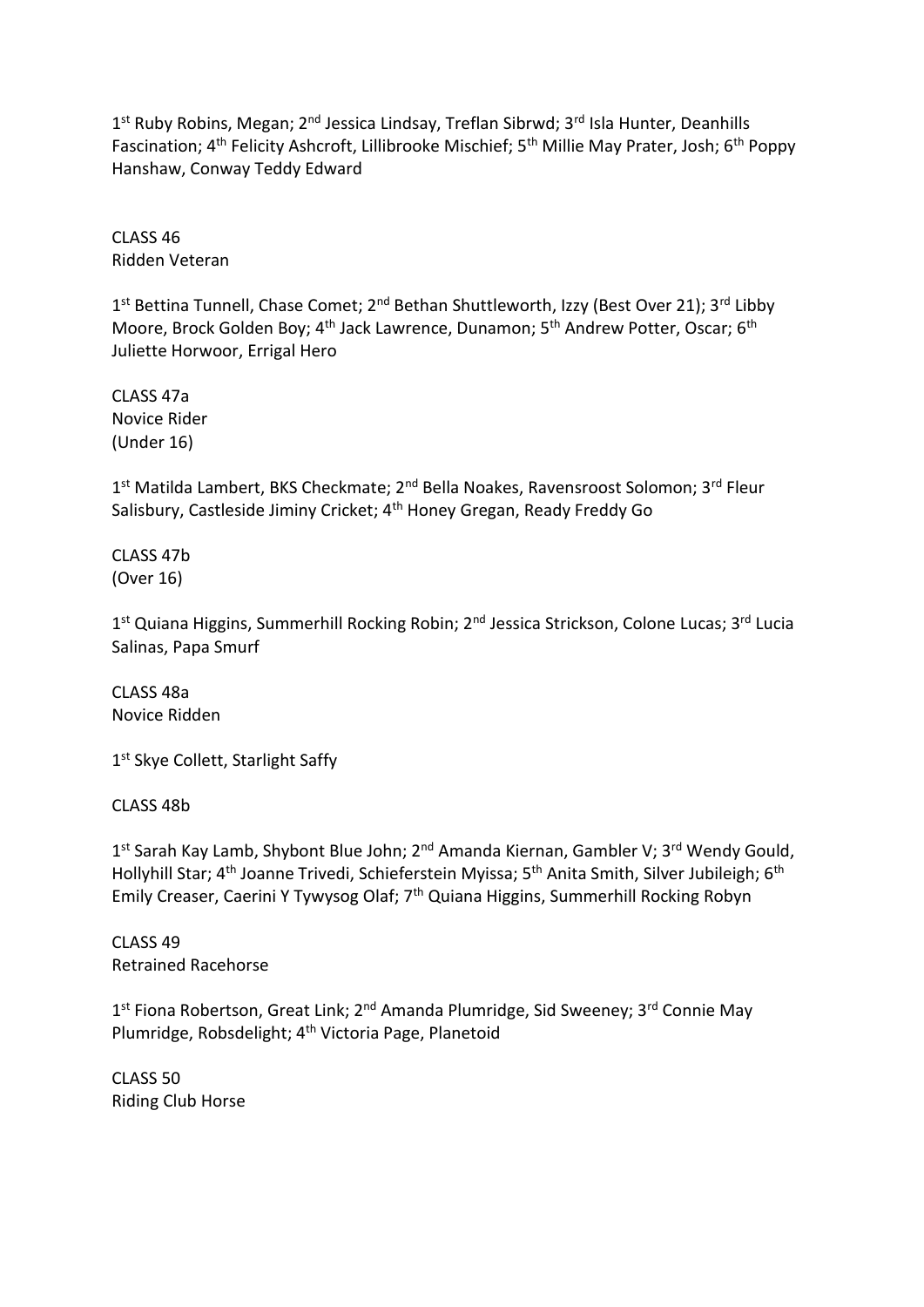1<sup>st</sup> Ruby Robins, Megan; 2<sup>nd</sup> Jessica Lindsay, Treflan Sibrwd; 3<sup>rd</sup> Isla Hunter, Deanhills Fascination; 4<sup>th</sup> Felicity Ashcroft, Lillibrooke Mischief; 5<sup>th</sup> Millie May Prater, Josh; 6<sup>th</sup> Poppy Hanshaw, Conway Teddy Edward

CLASS 46 Ridden Veteran

1<sup>st</sup> Bettina Tunnell, Chase Comet; 2<sup>nd</sup> Bethan Shuttleworth, Izzy (Best Over 21); 3<sup>rd</sup> Libby Moore, Brock Golden Boy; 4<sup>th</sup> Jack Lawrence, Dunamon; 5<sup>th</sup> Andrew Potter, Oscar; 6<sup>th</sup> Juliette Horwoor, Errigal Hero

CLASS 47a Novice Rider (Under 16)

1<sup>st</sup> Matilda Lambert, BKS Checkmate; 2<sup>nd</sup> Bella Noakes, Ravensroost Solomon; 3<sup>rd</sup> Fleur Salisbury, Castleside Jiminy Cricket; 4<sup>th</sup> Honey Gregan, Ready Freddy Go

CLASS 47b (Over 16)

1<sup>st</sup> Quiana Higgins, Summerhill Rocking Robin; 2<sup>nd</sup> Jessica Strickson, Colone Lucas; 3<sup>rd</sup> Lucia Salinas, Papa Smurf

CLASS 48a Novice Ridden

1st Skye Collett, Starlight Saffy

CLASS 48b

1<sup>st</sup> Sarah Kay Lamb, Shybont Blue John; 2<sup>nd</sup> Amanda Kiernan, Gambler V; 3<sup>rd</sup> Wendy Gould, Hollyhill Star; 4<sup>th</sup> Joanne Trivedi, Schieferstein Myissa; 5<sup>th</sup> Anita Smith, Silver Jubileigh; 6<sup>th</sup> Emily Creaser, Caerini Y Tywysog Olaf; 7th Quiana Higgins, Summerhill Rocking Robyn

CLASS 49 Retrained Racehorse

1<sup>st</sup> Fiona Robertson, Great Link; 2<sup>nd</sup> Amanda Plumridge, Sid Sweeney; 3<sup>rd</sup> Connie May Plumridge, Robsdelight; 4th Victoria Page, Planetoid

CLASS 50 Riding Club Horse